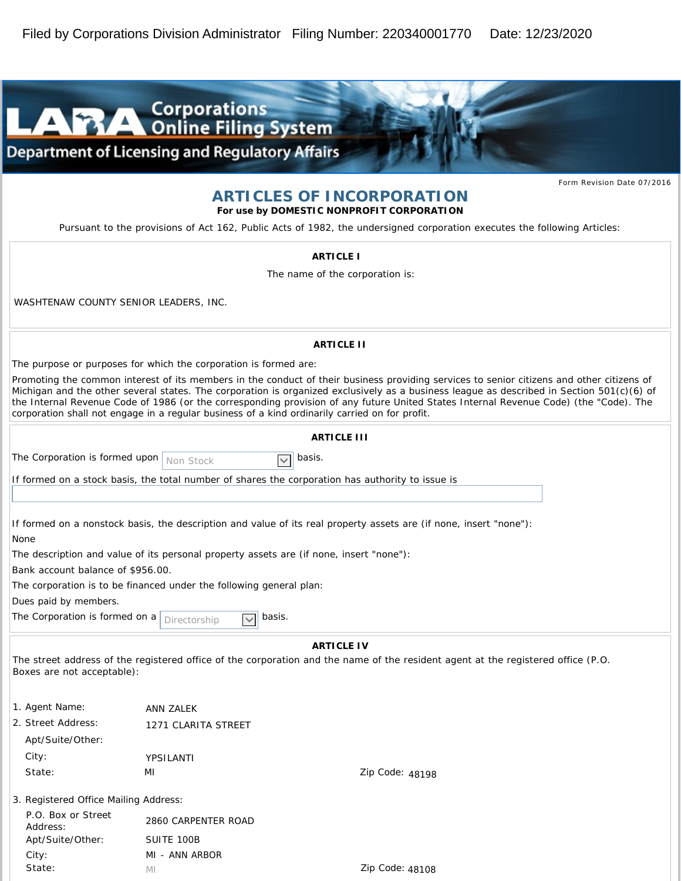

## **ARTICLES OF INCORPORATION**

**For use by DOMESTIC NONPROFIT CORPORATION**

*Pursuant to the provisions of Act 162, Public Acts of 1982, the undersigned corporation executes the following Articles:*

| ARTICLE I                                                                                                                                                                                                                                                                                                                                                                                                                                                                                                                         |                     |                        |
|-----------------------------------------------------------------------------------------------------------------------------------------------------------------------------------------------------------------------------------------------------------------------------------------------------------------------------------------------------------------------------------------------------------------------------------------------------------------------------------------------------------------------------------|---------------------|------------------------|
| The name of the corporation is:                                                                                                                                                                                                                                                                                                                                                                                                                                                                                                   |                     |                        |
| WASHTENAW COUNTY SENIOR LEADERS, INC.                                                                                                                                                                                                                                                                                                                                                                                                                                                                                             |                     |                        |
| <b>ARTICLE II</b>                                                                                                                                                                                                                                                                                                                                                                                                                                                                                                                 |                     |                        |
| The purpose or purposes for which the corporation is formed are:                                                                                                                                                                                                                                                                                                                                                                                                                                                                  |                     |                        |
| Promoting the common interest of its members in the conduct of their business providing services to senior citizens and other citizens of<br>Michigan and the other several states. The corporation is organized exclusively as a business league as described in Section 501(c)(6) of<br>the Internal Revenue Code of 1986 (or the corresponding provision of any future United States Internal Revenue Code) (the "Code). The<br>corporation shall not engage in a regular business of a kind ordinarily carried on for profit. |                     |                        |
| ARTICLE III                                                                                                                                                                                                                                                                                                                                                                                                                                                                                                                       |                     |                        |
| The Corporation is formed upon                                                                                                                                                                                                                                                                                                                                                                                                                                                                                                    |                     | basis.<br>$\checkmark$ |
| Non Stock                                                                                                                                                                                                                                                                                                                                                                                                                                                                                                                         |                     |                        |
| If formed on a stock basis, the total number of shares the corporation has authority to issue is                                                                                                                                                                                                                                                                                                                                                                                                                                  |                     |                        |
|                                                                                                                                                                                                                                                                                                                                                                                                                                                                                                                                   |                     |                        |
| If formed on a nonstock basis, the description and value of its real property assets are (if none, insert "none"):<br>None                                                                                                                                                                                                                                                                                                                                                                                                        |                     |                        |
| The description and value of its personal property assets are (if none, insert "none"):                                                                                                                                                                                                                                                                                                                                                                                                                                           |                     |                        |
| Bank account balance of \$956.00.                                                                                                                                                                                                                                                                                                                                                                                                                                                                                                 |                     |                        |
| The corporation is to be financed under the following general plan:<br>Dues paid by members.                                                                                                                                                                                                                                                                                                                                                                                                                                      |                     |                        |
| The Corporation is formed on a<br>basis.<br>$\checkmark$                                                                                                                                                                                                                                                                                                                                                                                                                                                                          |                     |                        |
| Directorship                                                                                                                                                                                                                                                                                                                                                                                                                                                                                                                      |                     |                        |
| ARTICLE IV                                                                                                                                                                                                                                                                                                                                                                                                                                                                                                                        |                     |                        |
| The street address of the registered office of the corporation and the name of the resident agent at the registered office (P.O.                                                                                                                                                                                                                                                                                                                                                                                                  |                     |                        |
| Boxes are not acceptable):                                                                                                                                                                                                                                                                                                                                                                                                                                                                                                        |                     |                        |
| 1. Agent Name:                                                                                                                                                                                                                                                                                                                                                                                                                                                                                                                    | ANN ZALEK           |                        |
| 2. Street Address:                                                                                                                                                                                                                                                                                                                                                                                                                                                                                                                | 1271 CLARITA STREET |                        |
| Apt/Suite/Other:                                                                                                                                                                                                                                                                                                                                                                                                                                                                                                                  |                     |                        |
| City:                                                                                                                                                                                                                                                                                                                                                                                                                                                                                                                             | YPSILANTI           |                        |
| State:                                                                                                                                                                                                                                                                                                                                                                                                                                                                                                                            | MI                  | Zip Code: 48198        |
|                                                                                                                                                                                                                                                                                                                                                                                                                                                                                                                                   |                     |                        |
| 3. Registered Office Mailing Address:                                                                                                                                                                                                                                                                                                                                                                                                                                                                                             |                     |                        |
| P.O. Box or Street<br>Address:                                                                                                                                                                                                                                                                                                                                                                                                                                                                                                    | 2860 CARPENTER ROAD |                        |
| Apt/Suite/Other:                                                                                                                                                                                                                                                                                                                                                                                                                                                                                                                  | SUITE 100B          |                        |
| City:                                                                                                                                                                                                                                                                                                                                                                                                                                                                                                                             | MI - ANN ARBOR      |                        |
| State:                                                                                                                                                                                                                                                                                                                                                                                                                                                                                                                            | МI                  | Zip Code: 48108        |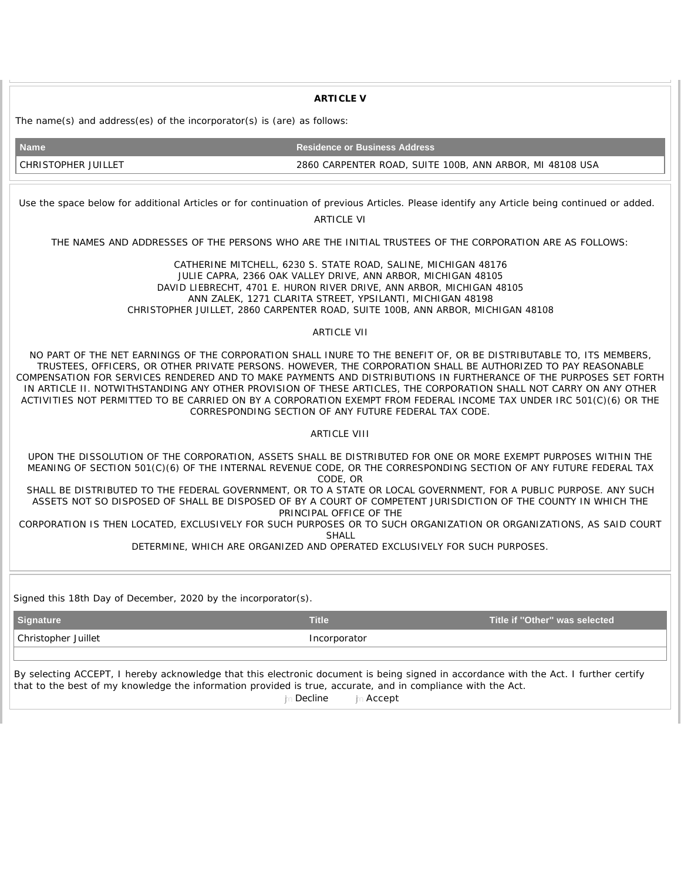**ARTICLE V** The name(s) and address(es) of the incorporator(s) is (are) as follows: **Name Residence or Business Address** CHRISTOPHER JUILLET 2860 CARPENTER ROAD, SUITE 100B, ANN ARBOR, MI 48108 USA Use the space below for additional Articles or for continuation of previous Articles. Please identify any Article being continued or added. ARTICLE VI THE NAMES AND ADDRESSES OF THE PERSONS WHO ARE THE INITIAL TRUSTEES OF THE CORPORATION ARE AS FOLLOWS: CATHERINE MITCHELL, 6230 S. STATE ROAD, SALINE, MICHIGAN 48176 JULIE CAPRA, 2366 OAK VALLEY DRIVE, ANN ARBOR, MICHIGAN 48105 DAVID LIEBRECHT, 4701 E. HURON RIVER DRIVE, ANN ARBOR, MICHIGAN 48105 ANN ZALEK, 1271 CLARITA STREET, YPSILANTI, MICHIGAN 48198 CHRISTOPHER JUILLET, 2860 CARPENTER ROAD, SUITE 100B, ANN ARBOR, MICHIGAN 48108 ARTICLE VII NO PART OF THE NET EARNINGS OF THE CORPORATION SHALL INURE TO THE BENEFIT OF, OR BE DISTRIBUTABLE TO, ITS MEMBERS, TRUSTEES, OFFICERS, OR OTHER PRIVATE PERSONS. HOWEVER, THE CORPORATION SHALL BE AUTHORIZED TO PAY REASONABLE COMPENSATION FOR SERVICES RENDERED AND TO MAKE PAYMENTS AND DISTRIBUTIONS IN FURTHERANCE OF THE PURPOSES SET FORTH IN ARTICLE II. NOTWITHSTANDING ANY OTHER PROVISION OF THESE ARTICLES, THE CORPORATION SHALL NOT CARRY ON ANY OTHER ACTIVITIES NOT PERMITTED TO BE CARRIED ON BY A CORPORATION EXEMPT FROM FEDERAL INCOME TAX UNDER IRC 501(C)(6) OR THE CORRESPONDING SECTION OF ANY FUTURE FEDERAL TAX CODE. ARTICLE VIII UPON THE DISSOLUTION OF THE CORPORATION, ASSETS SHALL BE DISTRIBUTED FOR ONE OR MORE EXEMPT PURPOSES WITHIN THE MEANING OF SECTION 501(C)(6) OF THE INTERNAL REVENUE CODE, OR THE CORRESPONDING SECTION OF ANY FUTURE FEDERAL TAX CODE, OR SHALL BE DISTRIBUTED TO THE FEDERAL GOVERNMENT, OR TO A STATE OR LOCAL GOVERNMENT, FOR A PUBLIC PURPOSE. ANY SUCH ASSETS NOT SO DISPOSED OF SHALL BE DISPOSED OF BY A COURT OF COMPETENT JURISDICTION OF THE COUNTY IN WHICH THE PRINCIPAL OFFICE OF THE CORPORATION IS THEN LOCATED, EXCLUSIVELY FOR SUCH PURPOSES OR TO SUCH ORGANIZATION OR ORGANIZATIONS, AS SAID COURT SHALL DETERMINE, WHICH ARE ORGANIZED AND OPERATED EXCLUSIVELY FOR SUCH PURPOSES. Signed this 18th Day of December, 2020 by the incorporator(s). **Signature Title Title if ''Other'' was selected**  Christopher Juillet **Incorporator** Incorporator By selecting ACCEPT, I hereby acknowledge that this electronic document is being signed in accordance with the Act. I further certify that to the best of my knowledge the information provided is true, accurate, and in compliance with the Act. **in Decline** in Accept